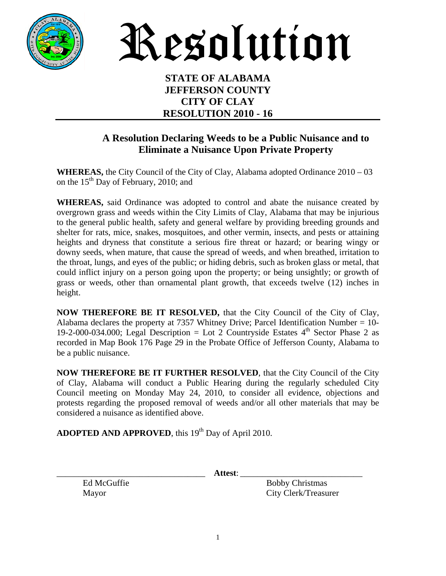

Resolution

## **STATE OF ALABAMA JEFFERSON COUNTY CITY OF CLAY RESOLUTION 2010 - 16**

## **A Resolution Declaring Weeds to be a Public Nuisance and to Eliminate a Nuisance Upon Private Property**

**WHEREAS,** the City Council of the City of Clay, Alabama adopted Ordinance 2010 – 03 on the  $15<sup>th</sup>$  Day of February, 2010; and

**WHEREAS,** said Ordinance was adopted to control and abate the nuisance created by overgrown grass and weeds within the City Limits of Clay, Alabama that may be injurious to the general public health, safety and general welfare by providing breeding grounds and shelter for rats, mice, snakes, mosquitoes, and other vermin, insects, and pests or attaining heights and dryness that constitute a serious fire threat or hazard; or bearing wingy or downy seeds, when mature, that cause the spread of weeds, and when breathed, irritation to the throat, lungs, and eyes of the public; or hiding debris, such as broken glass or metal, that could inflict injury on a person going upon the property; or being unsightly; or growth of grass or weeds, other than ornamental plant growth, that exceeds twelve (12) inches in height.

**NOW THEREFORE BE IT RESOLVED,** that the City Council of the City of Clay, Alabama declares the property at 7357 Whitney Drive; Parcel Identification Number = 10- 19-2-000-034.000; Legal Description = Lot 2 Countryside Estates  $4<sup>th</sup>$  Sector Phase 2 as recorded in Map Book 176 Page 29 in the Probate Office of Jefferson County, Alabama to be a public nuisance.

**NOW THEREFORE BE IT FURTHER RESOLVED**, that the City Council of the City of Clay, Alabama will conduct a Public Hearing during the regularly scheduled City Council meeting on Monday May 24, 2010, to consider all evidence, objections and protests regarding the proposed removal of weeds and/or all other materials that may be considered a nuisance as identified above.

**ADOPTED AND APPROVED**, this 19<sup>th</sup> Day of April 2010.

\_\_\_\_\_\_\_\_\_\_\_\_\_\_\_\_\_\_\_\_\_\_\_\_\_\_\_\_\_\_\_\_\_\_ **Attest**: \_\_\_\_\_\_\_\_\_\_\_\_\_\_\_\_\_\_\_\_\_\_\_\_\_\_\_\_

Ed McGuffie Bobby Christmas Mayor City Clerk/Treasurer